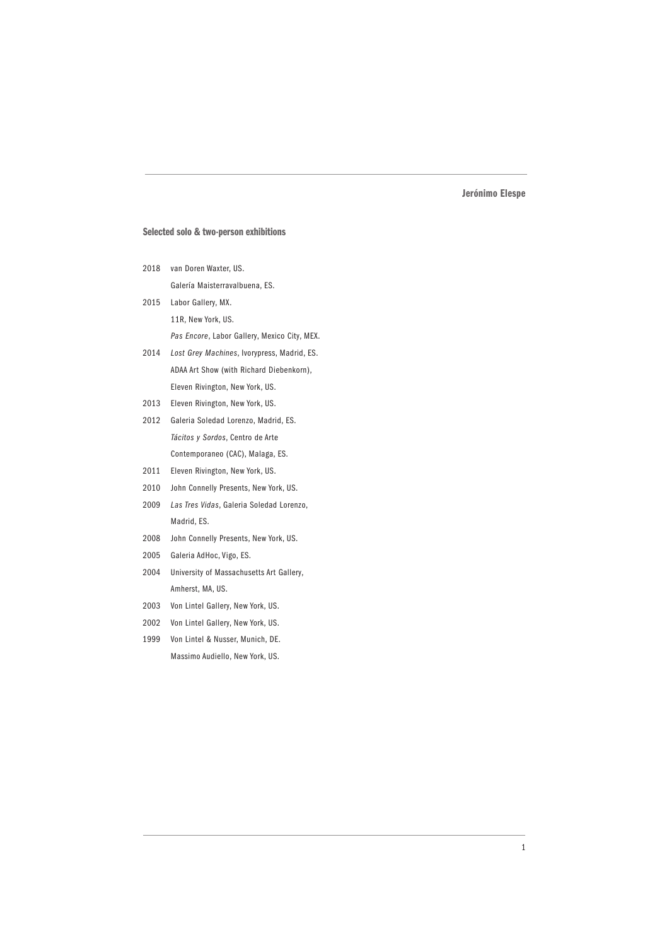## Selected solo & two-person exhibitions

- 2018 van Doren Waxter, US. Galería Maisterravalbuena, ES.
- 2015 Labor Gallery, MX. 11R, New York, US. *Pas Encore*, Labor Gallery, Mexico City, MEX.
- 2014 *Lost Grey Machines*, Ivorypress, Madrid, ES. ADAA Art Show (with Richard Diebenkorn), Eleven Rivington, New York, US.
- 2013 Eleven Rivington, New York, US.
- 2012 Galeria Soledad Lorenzo, Madrid, ES. *Tácitos y Sordos*, Centro de Arte Contemporaneo (CAC), Malaga, ES.
- 2011 Eleven Rivington, New York, US.
- 2010 John Connelly Presents, New York, US.
- 2009 *Las Tres Vidas*, Galeria Soledad Lorenzo, Madrid, ES.
- 2008 John Connelly Presents, New York, US.
- 2005 Galeria AdHoc, Vigo, ES.
- 2004 University of Massachusetts Art Gallery, Amherst, MA, US.
- 2003 Von Lintel Gallery, New York, US.
- 2002 Von Lintel Gallery, New York, US.
- 1999 Von Lintel & Nusser, Munich, DE. Massimo Audiello, New York, US.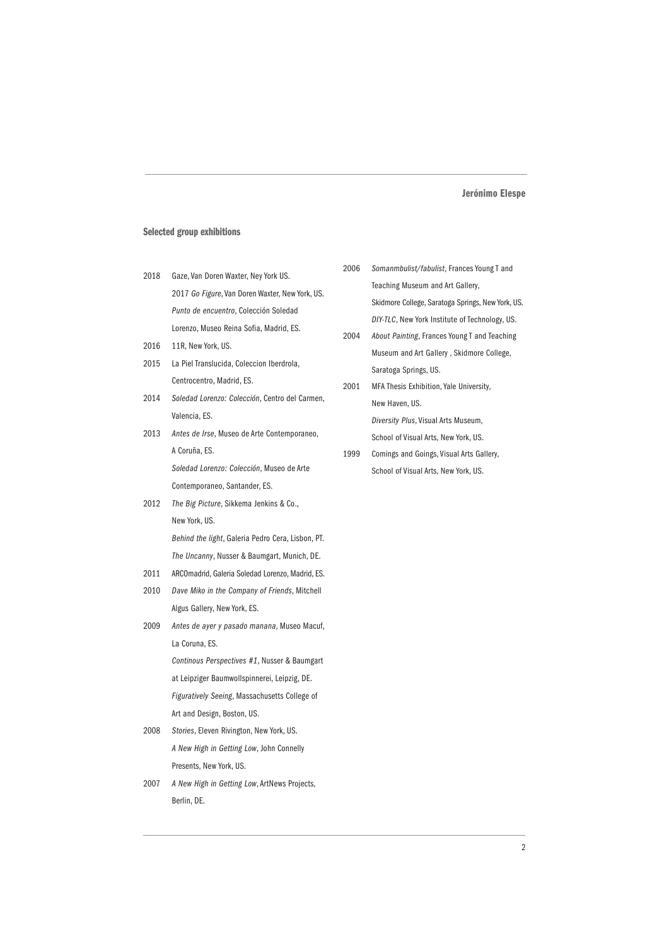### Selected group exhibitions

- 2018 Gaze, Van Doren Waxter, Ney York US. 2017 *Go Figure*, Van Doren Waxter, New York, US. *Punto de encuentro*, Colección Soledad Lorenzo, Museo Reina Sofia, Madrid, ES.
- 2016 11R, New York, US.
- 2015 La Piel Translucida, Coleccion Iberdrola, Centrocentro, Madrid, ES.
- 2014 *Soledad Lorenzo: Colección*, Centro del Carmen, Valencia, ES.
- 2013 *Antes de Irse*, Museo de Arte Contemporaneo, A Coruña, ES.

*Soledad Lorenzo: Colección*, Museo de Arte Contemporaneo, Santander, ES.

- 2012 *The Big Picture*, Sikkema Jenkins & Co., New York, US. *Behind the light*, Galeria Pedro Cera, Lisbon, PT.
- 2011 ARCOmadrid, Galeria Soledad Lorenzo, Madrid, ES.

*The Uncanny*, Nusser & Baumgart, Munich, DE.

- 2010 *Dave Miko in the Company of Friends*, Mitchell Algus Gallery, New York, ES.
- 2009 *Antes de ayer y pasado manana*, Museo Macuf, La Coruna, ES. *Continous Perspectives #1*, Nusser & Baumgart at Leipziger Baumwollspinnerei, Leipzig, DE. *Figuratively Seeing*, Massachusetts College of Art and Design, Boston, US.
- 2008 *Stories*, Eleven Rivington, New York, US. *A New High in Getting Low*, John Connelly Presents, New York, US.
- 2007 *A New High in Getting Low*, ArtNews Projects, Berlin, DE.
- 2006 *Somanmbulist/fabulist*, Frances Young T and Teaching Museum and Art Gallery, Skidmore College, Saratoga Springs, New York, US. *DIY-TLC*, New York Institute of Technology, US.
- 2004 *About Painting*, Frances Young T and Teaching Museum and Art Gallery , Skidmore College, Saratoga Springs, US.
- 2001 MFA Thesis Exhibition, Yale University, New Haven, US. *Diversity Plus*, Visual Arts Museum, School of Visual Arts, New York, US.
- 1999 Comings and Goings, Visual Arts Gallery, School of Visual Arts, New York, US.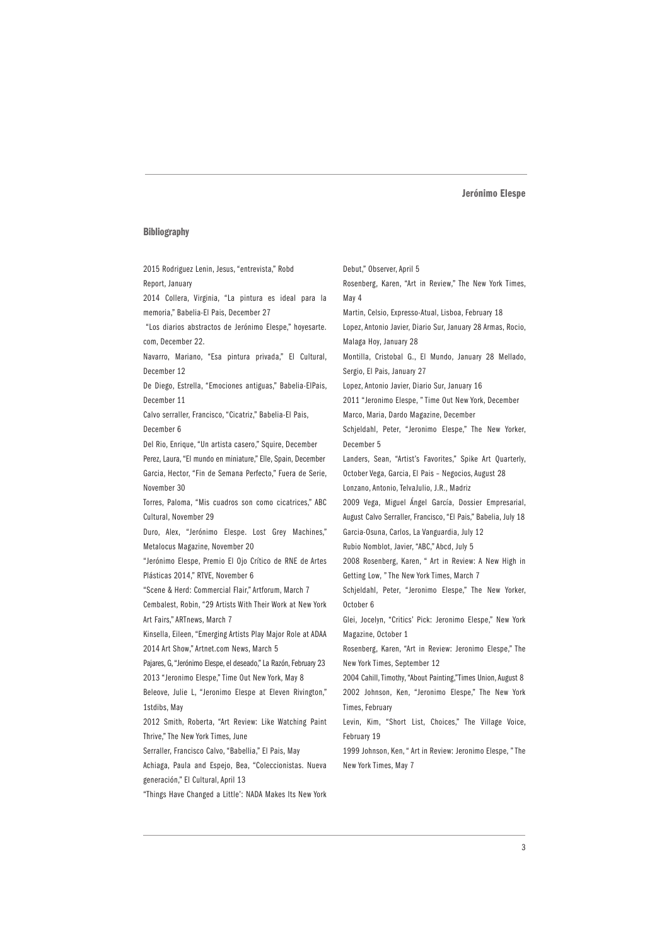#### Bibliography

2015 Rodriguez Lenin, Jesus, "entrevista," Robd Report, January 2014 Collera, Virginia, "La pintura es ideal para la memoria," Babelia-El Pais, December 27 "Los diarios abstractos de Jerónimo Elespe," hoyesarte. com, December 22. Navarro, Mariano, "Esa pintura privada," El Cultural, December 12 De Diego, Estrella, "Emociones antiguas," Babelia-ElPais, December 11 Calvo serraller, Francisco, "Cicatriz," Babelia-El Pais, December 6 Del Rio, Enrique, "Un artista casero," Squire, December Perez, Laura, "El mundo en miniature," Elle, Spain, December Garcia, Hector, "Fin de Semana Perfecto," Fuera de Serie, November 30 Torres, Paloma, "Mis cuadros son como cicatrices," ABC Cultural, November 29 Duro, Alex, "Jerónimo Elespe. Lost Grey Machines," Metalocus Magazine, November 20 "Jerónimo Elespe, Premio El Ojo Crítico de RNE de Artes Plásticas 2014," RTVE, November 6 "Scene & Herd: Commercial Flair," Artforum, March 7 Cembalest, Robin, "29 Artists With Their Work at New York Art Fairs," ARTnews, March 7 Kinsella, Eileen, "Emerging Artists Play Major Role at ADAA 2014 Art Show," Artnet.com News, March 5 Pajares, G, "Jerónimo Elespe, el deseado," La Razón, February 23 2013 "Jeronimo Elespe," Time Out New York, May 8 Beleove, Julie L, "Jeronimo Elespe at Eleven Rivington," 1stdibs, May 2012 Smith, Roberta, "Art Review: Like Watching Paint Thrive," The New York Times, June Serraller, Francisco Calvo, "Babellia," El Pais, May Achiaga, Paula and Espejo, Bea, "Coleccionistas. Nueva generación," El Cultural, April 13 May 4 February 19

"Things Have Changed a Little': NADA Makes Its New York

Debut," Observer, April 5 Rosenberg, Karen, "Art in Review," The New York Times, Martin, Celsio, Expresso-Atual, Lisboa, February 18 Lopez, Antonio Javier, Diario Sur, January 28 Armas, Rocio, Malaga Hoy, January 28 Montilla, Cristobal G., El Mundo, January 28 Mellado, Sergio, El Pais, January 27 Lopez, Antonio Javier, Diario Sur, January 16 2011 "Jeronimo Elespe, " Time Out New York, December Marco, Maria, Dardo Magazine, December Schjeldahl, Peter, "Jeronimo Elespe," The New Yorker, December 5 Landers, Sean, "Artist's Favorites," Spike Art Quarterly, October Vega, Garcia, El Pais – Negocios, August 28 Lonzano, Antonio, TelvaJulio, J.R., Madriz 2009 Vega, Miguel Ángel García, Dossier Empresarial, August Calvo Serraller, Francisco, "El Pais," Babelia, July 18 Garcia-Osuna, Carlos, La Vanguardia, July 12 Rubio Nomblot, Javier, "ABC," Abcd, July 5 2008 Rosenberg, Karen, " Art in Review: A New High in Getting Low, " The New York Times, March 7 Schjeldahl, Peter, "Jeronimo Elespe," The New Yorker, October 6 Glei, Jocelyn, "Critics' Pick: Jeronimo Elespe," New York Magazine, October 1 Rosenberg, Karen, "Art in Review: Jeronimo Elespe," The New York Times, September 12 2004 Cahill, Timothy, "About Painting,"Times Union, August 8 2002 Johnson, Ken, "Jeronimo Elespe," The New York Times, February Levin, Kim, "Short List, Choices," The Village Voice,

1999 Johnson, Ken, " Art in Review: Jeronimo Elespe, " The New York Times, May 7